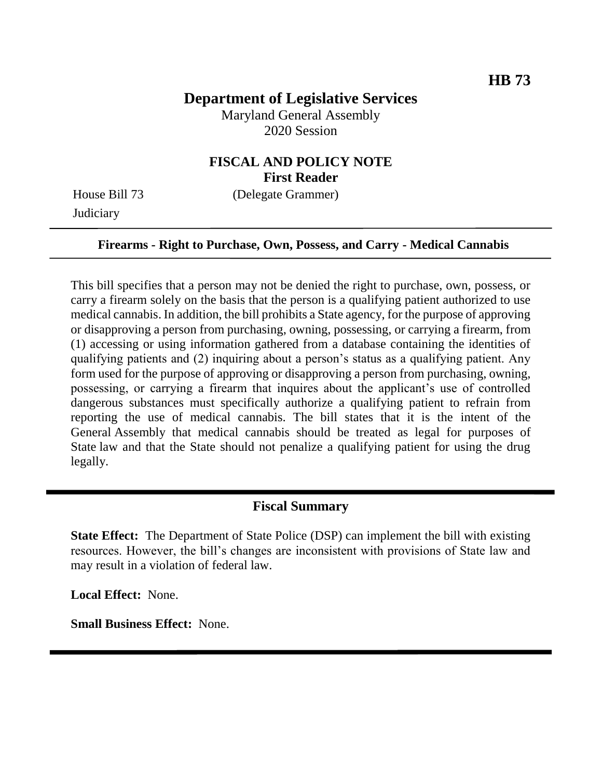# **Department of Legislative Services**

Maryland General Assembly 2020 Session

### **FISCAL AND POLICY NOTE First Reader**

**Judiciary** 

House Bill 73 (Delegate Grammer)

#### **Firearms - Right to Purchase, Own, Possess, and Carry - Medical Cannabis**

This bill specifies that a person may not be denied the right to purchase, own, possess, or carry a firearm solely on the basis that the person is a qualifying patient authorized to use medical cannabis. In addition, the bill prohibits a State agency, for the purpose of approving or disapproving a person from purchasing, owning, possessing, or carrying a firearm, from (1) accessing or using information gathered from a database containing the identities of qualifying patients and (2) inquiring about a person's status as a qualifying patient. Any form used for the purpose of approving or disapproving a person from purchasing, owning, possessing, or carrying a firearm that inquires about the applicant's use of controlled dangerous substances must specifically authorize a qualifying patient to refrain from reporting the use of medical cannabis. The bill states that it is the intent of the General Assembly that medical cannabis should be treated as legal for purposes of State law and that the State should not penalize a qualifying patient for using the drug legally.

### **Fiscal Summary**

**State Effect:** The Department of State Police (DSP) can implement the bill with existing resources. However, the bill's changes are inconsistent with provisions of State law and may result in a violation of federal law.

**Local Effect:** None.

**Small Business Effect:** None.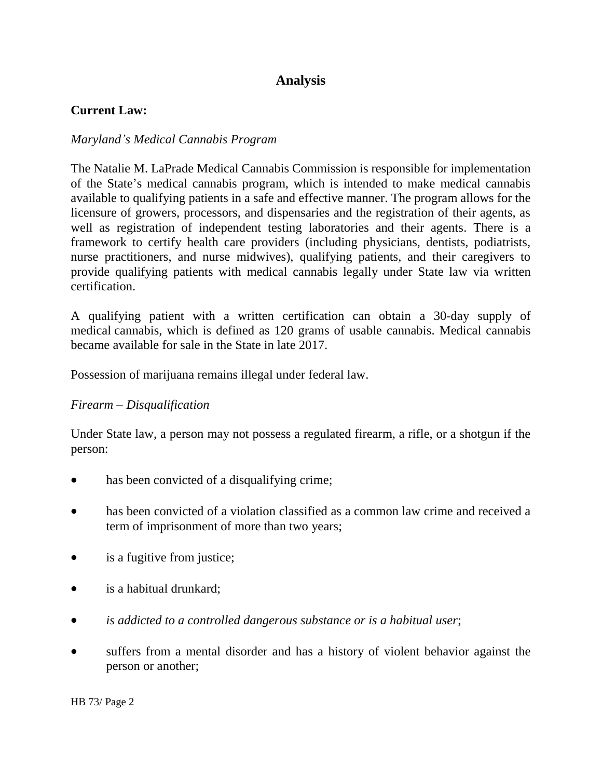# **Analysis**

### **Current Law:**

### *Maryland's Medical Cannabis Program*

The Natalie M. LaPrade Medical Cannabis Commission is responsible for implementation of the State's medical cannabis program, which is intended to make medical cannabis available to qualifying patients in a safe and effective manner. The program allows for the licensure of growers, processors, and dispensaries and the registration of their agents, as well as registration of independent testing laboratories and their agents. There is a framework to certify health care providers (including physicians, dentists, podiatrists, nurse practitioners, and nurse midwives), qualifying patients, and their caregivers to provide qualifying patients with medical cannabis legally under State law via written certification.

A qualifying patient with a written certification can obtain a 30-day supply of medical cannabis, which is defined as 120 grams of usable cannabis. Medical cannabis became available for sale in the State in late 2017.

Possession of marijuana remains illegal under federal law.

### *Firearm – Disqualification*

Under State law, a person may not possess a regulated firearm, a rifle, or a shotgun if the person:

- has been convicted of a disqualifying crime;
- has been convicted of a violation classified as a common law crime and received a term of imprisonment of more than two years;
- is a fugitive from justice;
- is a habitual drunkard;
- *is addicted to a controlled dangerous substance or is a habitual user*;
- suffers from a mental disorder and has a history of violent behavior against the person or another;

HB 73/ Page 2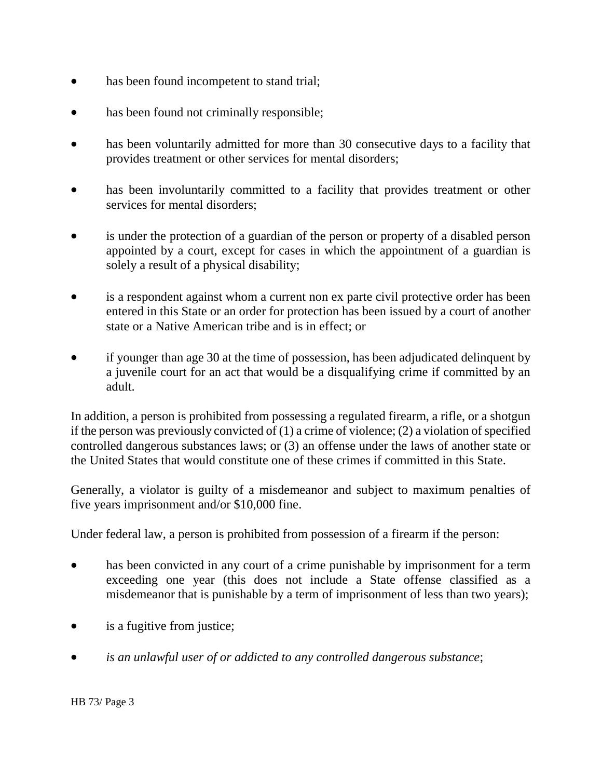- has been found incompetent to stand trial;
- has been found not criminally responsible;
- has been voluntarily admitted for more than 30 consecutive days to a facility that provides treatment or other services for mental disorders;
- has been involuntarily committed to a facility that provides treatment or other services for mental disorders;
- is under the protection of a guardian of the person or property of a disabled person appointed by a court, except for cases in which the appointment of a guardian is solely a result of a physical disability;
- is a respondent against whom a current non ex parte civil protective order has been entered in this State or an order for protection has been issued by a court of another state or a Native American tribe and is in effect; or
- if younger than age 30 at the time of possession, has been adjudicated delinquent by a juvenile court for an act that would be a disqualifying crime if committed by an adult.

In addition, a person is prohibited from possessing a regulated firearm, a rifle, or a shotgun if the person was previously convicted of (1) a crime of violence; (2) a violation of specified controlled dangerous substances laws; or (3) an offense under the laws of another state or the United States that would constitute one of these crimes if committed in this State.

Generally, a violator is guilty of a misdemeanor and subject to maximum penalties of five years imprisonment and/or \$10,000 fine.

Under federal law, a person is prohibited from possession of a firearm if the person:

- has been convicted in any court of a crime punishable by imprisonment for a term exceeding one year (this does not include a State offense classified as a misdemeanor that is punishable by a term of imprisonment of less than two years);
- is a fugitive from justice;
- *is an unlawful user of or addicted to any controlled dangerous substance*;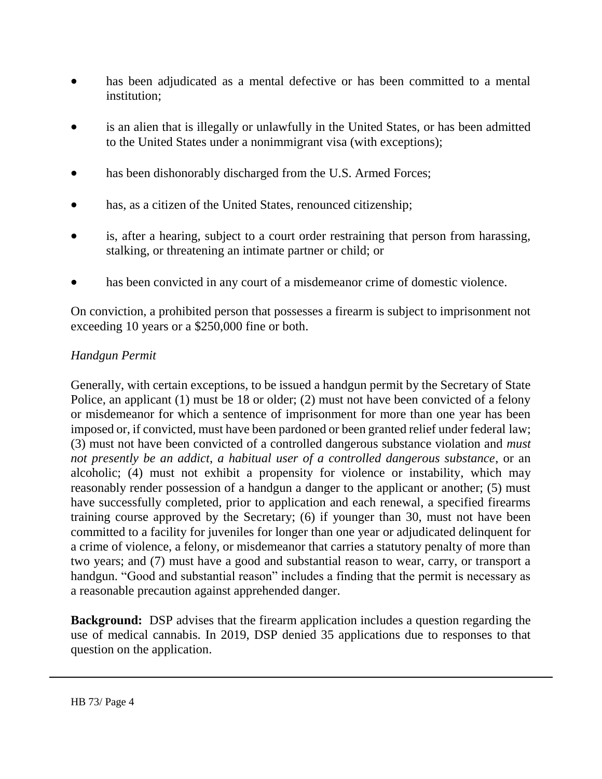- has been adjudicated as a mental defective or has been committed to a mental institution;
- is an alien that is illegally or unlawfully in the United States, or has been admitted to the United States under a nonimmigrant visa (with exceptions);
- has been dishonorably discharged from the U.S. Armed Forces;
- has, as a citizen of the United States, renounced citizenship;
- is, after a hearing, subject to a court order restraining that person from harassing, stalking, or threatening an intimate partner or child; or
- has been convicted in any court of a misdemeanor crime of domestic violence.

On conviction, a prohibited person that possesses a firearm is subject to imprisonment not exceeding 10 years or a \$250,000 fine or both.

### *Handgun Permit*

Generally, with certain exceptions, to be issued a handgun permit by the Secretary of State Police, an applicant (1) must be 18 or older; (2) must not have been convicted of a felony or misdemeanor for which a sentence of imprisonment for more than one year has been imposed or, if convicted, must have been pardoned or been granted relief under federal law; (3) must not have been convicted of a controlled dangerous substance violation and *must not presently be an addict*, *a habitual user of a controlled dangerous substance*, or an alcoholic; (4) must not exhibit a propensity for violence or instability, which may reasonably render possession of a handgun a danger to the applicant or another; (5) must have successfully completed, prior to application and each renewal, a specified firearms training course approved by the Secretary; (6) if younger than 30, must not have been committed to a facility for juveniles for longer than one year or adjudicated delinquent for a crime of violence, a felony, or misdemeanor that carries a statutory penalty of more than two years; and (7) must have a good and substantial reason to wear, carry, or transport a handgun. "Good and substantial reason" includes a finding that the permit is necessary as a reasonable precaution against apprehended danger.

**Background:** DSP advises that the firearm application includes a question regarding the use of medical cannabis. In 2019, DSP denied 35 applications due to responses to that question on the application.